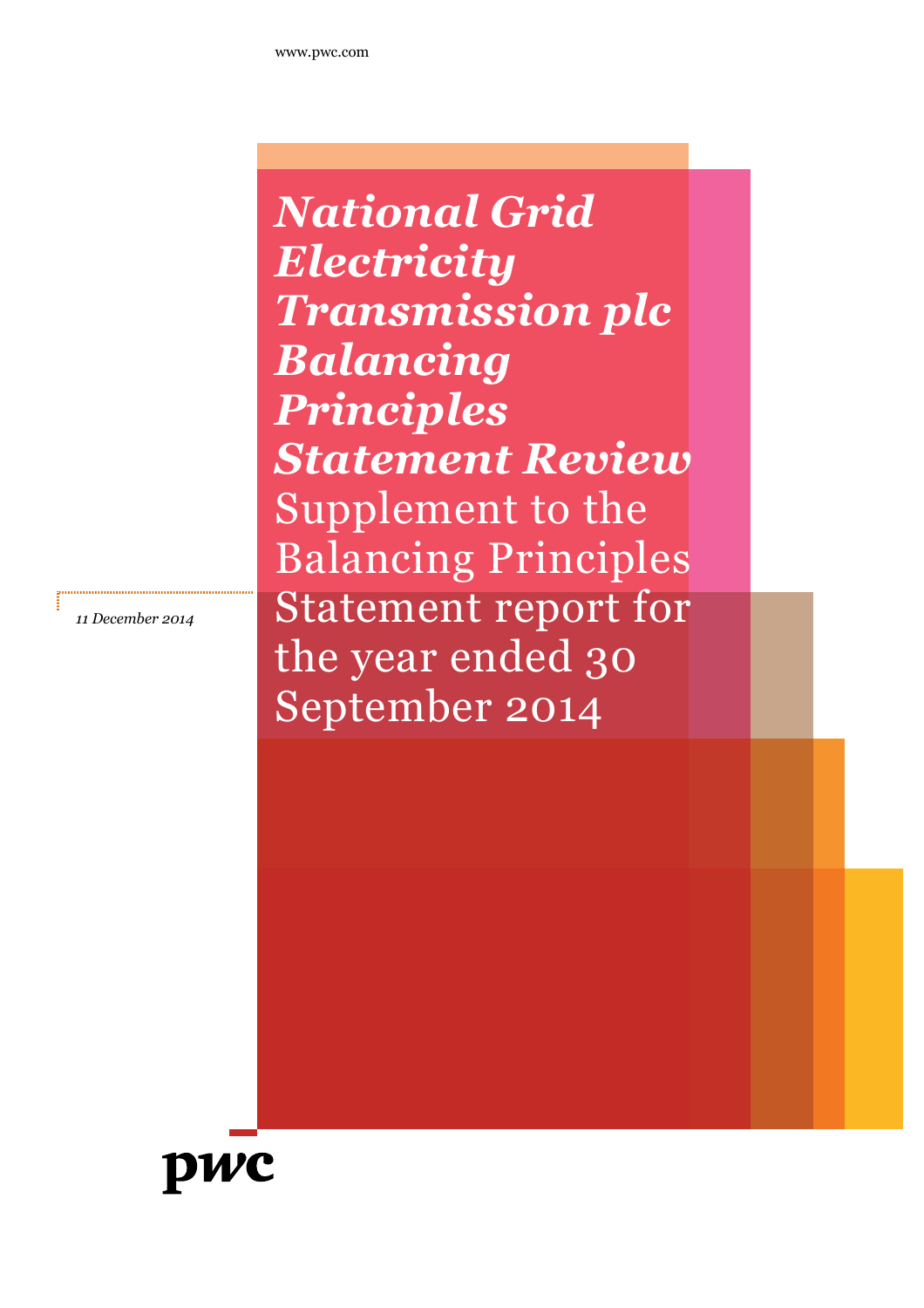*National Grid Electricity Transmission plc Balancing Principles Statement Review* Supplement to the Balancing Principles Statement report for the year ended 30 September 2014

*11 December 2014*

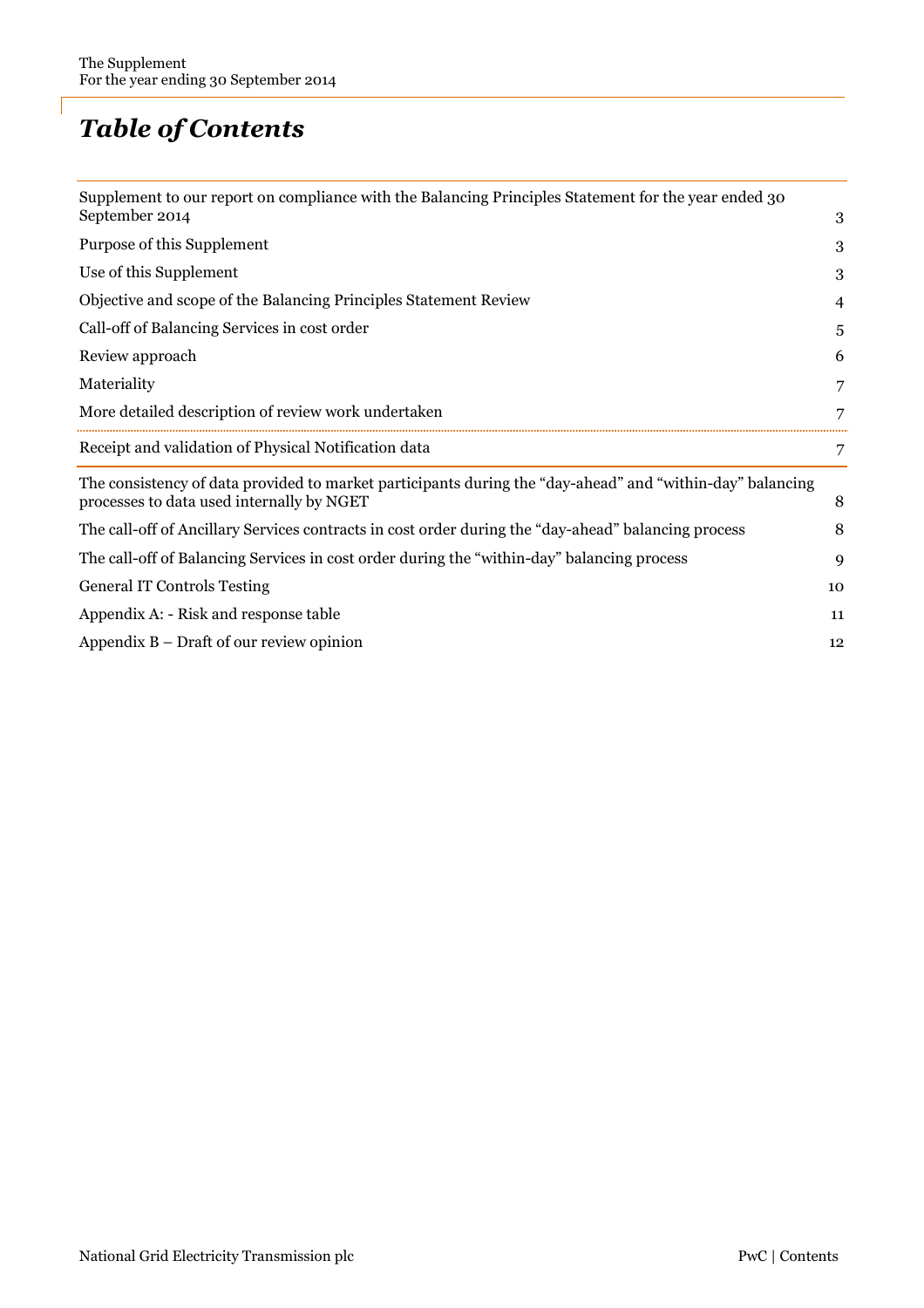## *Table of Contents*

| Supplement to our report on compliance with the Balancing Principles Statement for the year ended 30                                                   |    |
|--------------------------------------------------------------------------------------------------------------------------------------------------------|----|
| September 2014                                                                                                                                         | 3  |
| Purpose of this Supplement                                                                                                                             | 3  |
| Use of this Supplement                                                                                                                                 | 3  |
| Objective and scope of the Balancing Principles Statement Review                                                                                       | 4  |
| Call-off of Balancing Services in cost order                                                                                                           | 5  |
| Review approach                                                                                                                                        |    |
| Materiality                                                                                                                                            |    |
| More detailed description of review work undertaken                                                                                                    |    |
| Receipt and validation of Physical Notification data                                                                                                   |    |
| The consistency of data provided to market participants during the "day-ahead" and "within-day" balancing<br>processes to data used internally by NGET | 8  |
| The call-off of Ancillary Services contracts in cost order during the "day-ahead" balancing process                                                    | 8  |
| The call-off of Balancing Services in cost order during the "within-day" balancing process                                                             | 9  |
| <b>General IT Controls Testing</b>                                                                                                                     | 10 |
| Appendix A: - Risk and response table                                                                                                                  | 11 |
| Appendix $B$ – Draft of our review opinion                                                                                                             | 12 |
|                                                                                                                                                        |    |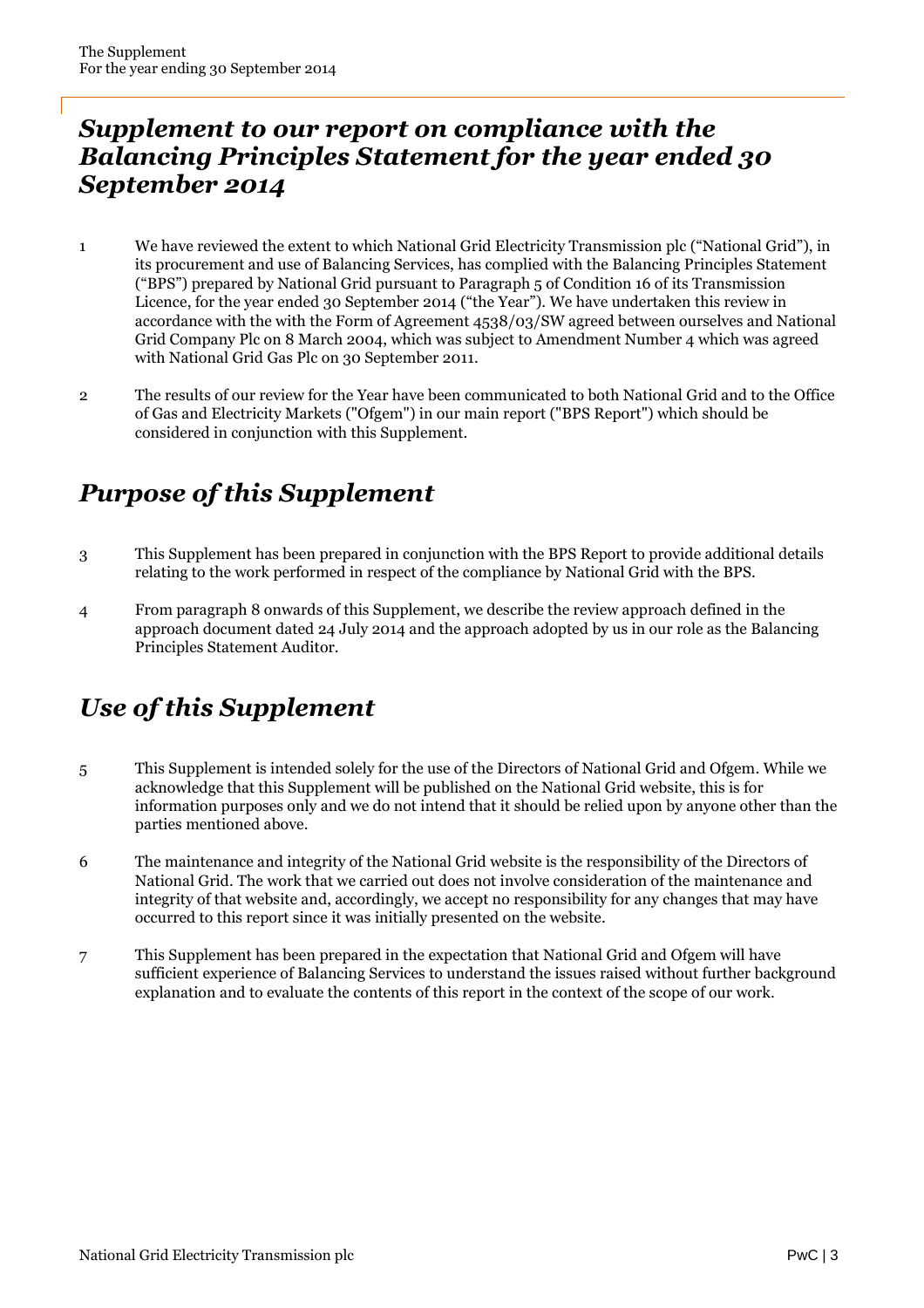#### *Supplement to our report on compliance with the Balancing Principles Statement for the year ended 30 September 2014*

- 1 We have reviewed the extent to which National Grid Electricity Transmission plc ("National Grid"), in its procurement and use of Balancing Services, has complied with the Balancing Principles Statement ("BPS") prepared by National Grid pursuant to Paragraph 5 of Condition 16 of its Transmission Licence, for the year ended 30 September 2014 ("the Year"). We have undertaken this review in accordance with the with the Form of Agreement 4538/03/SW agreed between ourselves and National Grid Company Plc on 8 March 2004, which was subject to Amendment Number 4 which was agreed with National Grid Gas Plc on 30 September 2011.
- 2 The results of our review for the Year have been communicated to both National Grid and to the Office of Gas and Electricity Markets ("Ofgem") in our main report ("BPS Report") which should be considered in conjunction with this Supplement.

## *Purpose of this Supplement*

- 3 This Supplement has been prepared in conjunction with the BPS Report to provide additional details relating to the work performed in respect of the compliance by National Grid with the BPS.
- 4 From paragraph 8 onwards of this Supplement, we describe the review approach defined in the approach document dated 24 July 2014 and the approach adopted by us in our role as the Balancing Principles Statement Auditor.

## *Use of this Supplement*

- 5 This Supplement is intended solely for the use of the Directors of National Grid and Ofgem. While we acknowledge that this Supplement will be published on the National Grid website, this is for information purposes only and we do not intend that it should be relied upon by anyone other than the parties mentioned above.
- 6 The maintenance and integrity of the National Grid website is the responsibility of the Directors of National Grid. The work that we carried out does not involve consideration of the maintenance and integrity of that website and, accordingly, we accept no responsibility for any changes that may have occurred to this report since it was initially presented on the website.
- 7 This Supplement has been prepared in the expectation that National Grid and Ofgem will have sufficient experience of Balancing Services to understand the issues raised without further background explanation and to evaluate the contents of this report in the context of the scope of our work.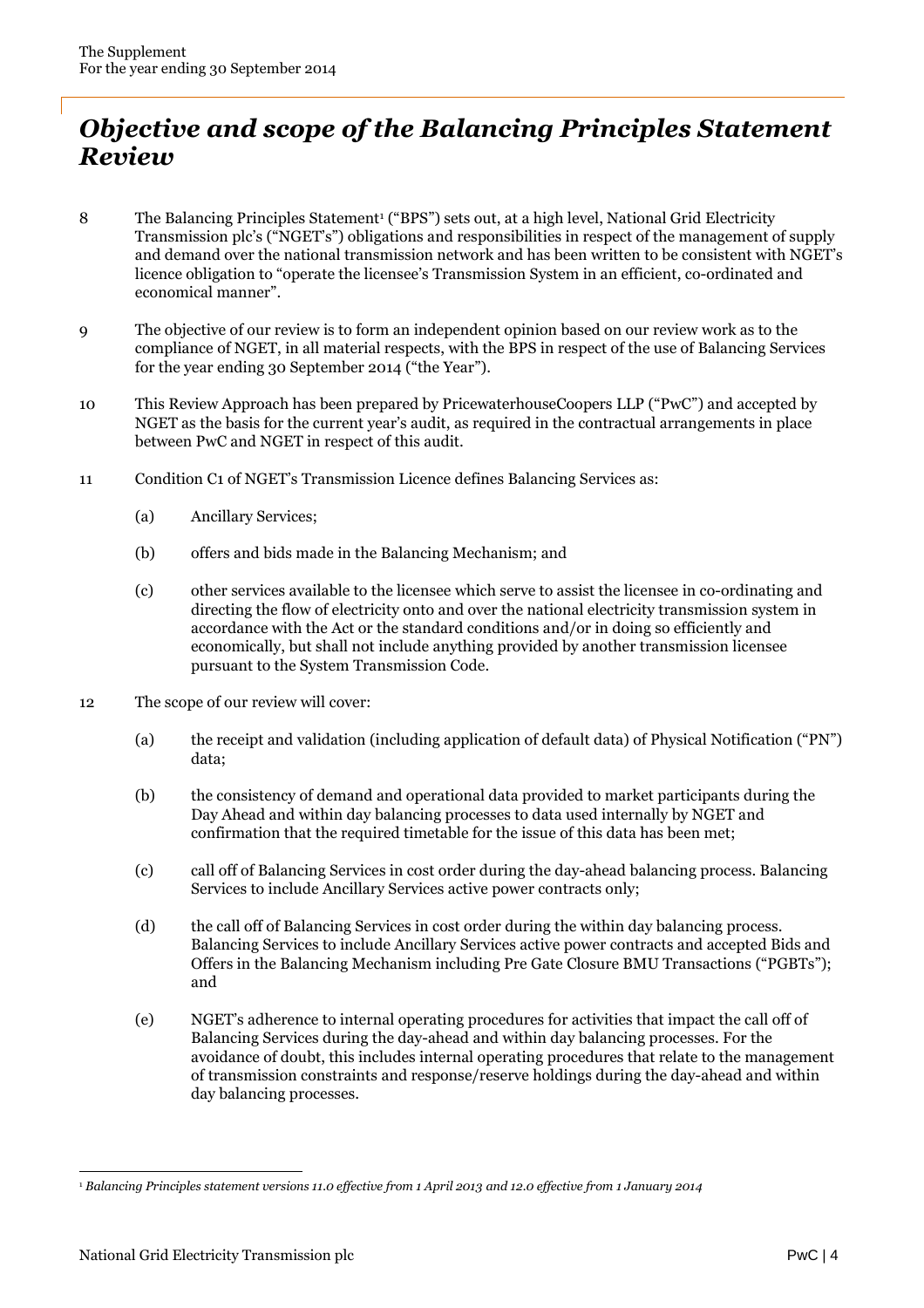### *Objective and scope of the Balancing Principles Statement Review*

- 8 The Balancing Principles Statement<sup>1</sup> ("BPS") sets out, at a high level, National Grid Electricity Transmission plc's ("NGET's") obligations and responsibilities in respect of the management of supply and demand over the national transmission network and has been written to be consistent with NGET's licence obligation to "operate the licensee's Transmission System in an efficient, co-ordinated and economical manner".
- 9 The objective of our review is to form an independent opinion based on our review work as to the compliance of NGET, in all material respects, with the BPS in respect of the use of Balancing Services for the year ending 30 September 2014 ("the Year").
- 10 This Review Approach has been prepared by PricewaterhouseCoopers LLP ("PwC") and accepted by NGET as the basis for the current year's audit, as required in the contractual arrangements in place between PwC and NGET in respect of this audit.
- 11 Condition C1 of NGET's Transmission Licence defines Balancing Services as:
	- (a) Ancillary Services;
	- (b) offers and bids made in the Balancing Mechanism; and
	- (c) other services available to the licensee which serve to assist the licensee in co-ordinating and directing the flow of electricity onto and over the national electricity transmission system in accordance with the Act or the standard conditions and/or in doing so efficiently and economically, but shall not include anything provided by another transmission licensee pursuant to the System Transmission Code.
- 12 The scope of our review will cover:
	- (a) the receipt and validation (including application of default data) of Physical Notification ("PN") data;
	- (b) the consistency of demand and operational data provided to market participants during the Day Ahead and within day balancing processes to data used internally by NGET and confirmation that the required timetable for the issue of this data has been met;
	- (c) call off of Balancing Services in cost order during the day-ahead balancing process. Balancing Services to include Ancillary Services active power contracts only;
	- (d) the call off of Balancing Services in cost order during the within day balancing process. Balancing Services to include Ancillary Services active power contracts and accepted Bids and Offers in the Balancing Mechanism including Pre Gate Closure BMU Transactions ("PGBTs"); and
	- (e) NGET's adherence to internal operating procedures for activities that impact the call off of Balancing Services during the day-ahead and within day balancing processes. For the avoidance of doubt, this includes internal operating procedures that relate to the management of transmission constraints and response/reserve holdings during the day-ahead and within day balancing processes.

<sup>1</sup> *Balancing Principles statement versions 11.0 effective from 1 April 2013 and 12.0 effective from 1 January 2014*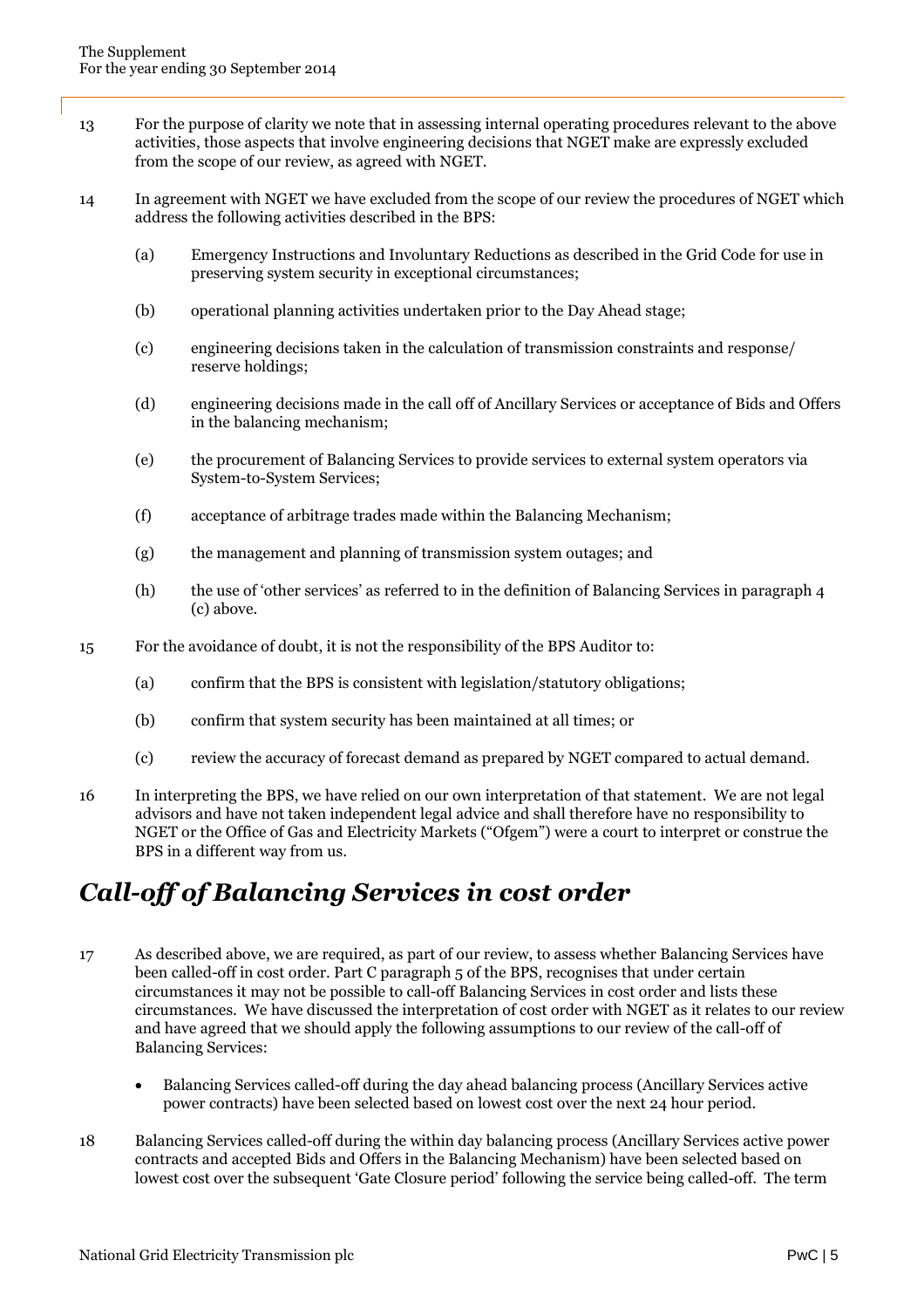- 13 For the purpose of clarity we note that in assessing internal operating procedures relevant to the above activities, those aspects that involve engineering decisions that NGET make are expressly excluded from the scope of our review, as agreed with NGET.
- 14 In agreement with NGET we have excluded from the scope of our review the procedures of NGET which address the following activities described in the BPS:
	- (a) Emergency Instructions and Involuntary Reductions as described in the Grid Code for use in preserving system security in exceptional circumstances;
	- (b) operational planning activities undertaken prior to the Day Ahead stage;
	- (c) engineering decisions taken in the calculation of transmission constraints and response/ reserve holdings;
	- (d) engineering decisions made in the call off of Ancillary Services or acceptance of Bids and Offers in the balancing mechanism;
	- (e) the procurement of Balancing Services to provide services to external system operators via System-to-System Services;
	- (f) acceptance of arbitrage trades made within the Balancing Mechanism;
	- (g) the management and planning of transmission system outages; and
	- (h) the use of 'other services' as referred to in the definition of Balancing Services in paragraph 4 (c) above.
- 15 For the avoidance of doubt, it is not the responsibility of the BPS Auditor to:
	- (a) confirm that the BPS is consistent with legislation/statutory obligations;
	- (b) confirm that system security has been maintained at all times; or
	- (c) review the accuracy of forecast demand as prepared by NGET compared to actual demand.
- 16 In interpreting the BPS, we have relied on our own interpretation of that statement. We are not legal advisors and have not taken independent legal advice and shall therefore have no responsibility to NGET or the Office of Gas and Electricity Markets ("Ofgem") were a court to interpret or construe the BPS in a different way from us.

## *Call-off of Balancing Services in cost order*

- 17 As described above, we are required, as part of our review, to assess whether Balancing Services have been called-off in cost order. Part C paragraph 5 of the BPS, recognises that under certain circumstances it may not be possible to call-off Balancing Services in cost order and lists these circumstances. We have discussed the interpretation of cost order with NGET as it relates to our review and have agreed that we should apply the following assumptions to our review of the call-off of Balancing Services:
	- Balancing Services called-off during the day ahead balancing process (Ancillary Services active power contracts) have been selected based on lowest cost over the next 24 hour period.
- 18 Balancing Services called-off during the within day balancing process (Ancillary Services active power contracts and accepted Bids and Offers in the Balancing Mechanism) have been selected based on lowest cost over the subsequent 'Gate Closure period' following the service being called-off. The term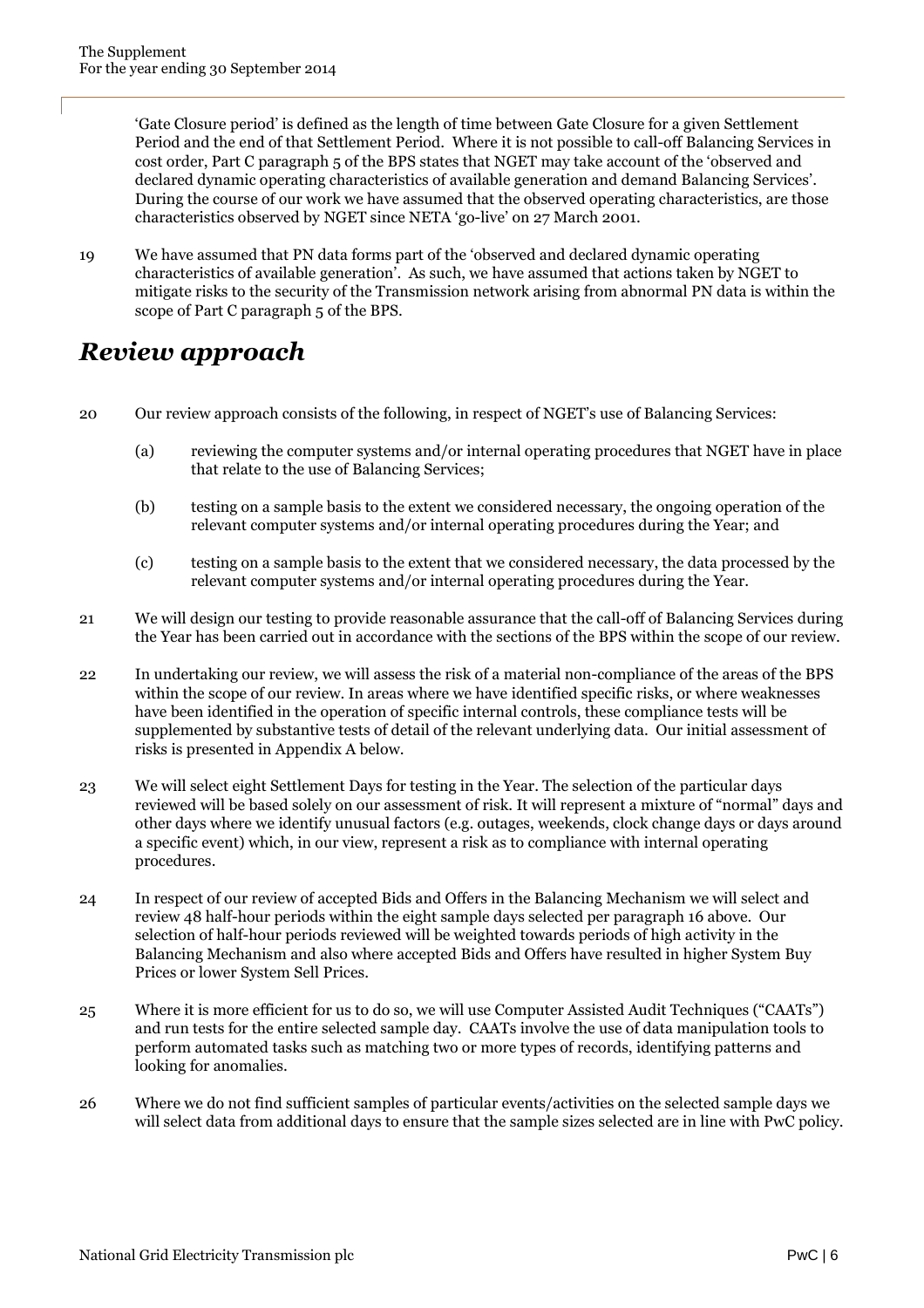'Gate Closure period' is defined as the length of time between Gate Closure for a given Settlement Period and the end of that Settlement Period. Where it is not possible to call-off Balancing Services in cost order, Part C paragraph 5 of the BPS states that NGET may take account of the 'observed and declared dynamic operating characteristics of available generation and demand Balancing Services'. During the course of our work we have assumed that the observed operating characteristics, are those characteristics observed by NGET since NETA 'go-live' on 27 March 2001.

19 We have assumed that PN data forms part of the 'observed and declared dynamic operating characteristics of available generation'. As such, we have assumed that actions taken by NGET to mitigate risks to the security of the Transmission network arising from abnormal PN data is within the scope of Part C paragraph 5 of the BPS.

### *Review approach*

- 20 Our review approach consists of the following, in respect of NGET's use of Balancing Services:
	- (a) reviewing the computer systems and/or internal operating procedures that NGET have in place that relate to the use of Balancing Services;
	- (b) testing on a sample basis to the extent we considered necessary, the ongoing operation of the relevant computer systems and/or internal operating procedures during the Year; and
	- (c) testing on a sample basis to the extent that we considered necessary, the data processed by the relevant computer systems and/or internal operating procedures during the Year.
- 21 We will design our testing to provide reasonable assurance that the call-off of Balancing Services during the Year has been carried out in accordance with the sections of the BPS within the scope of our review.
- 22 In undertaking our review, we will assess the risk of a material non-compliance of the areas of the BPS within the scope of our review. In areas where we have identified specific risks, or where weaknesses have been identified in the operation of specific internal controls, these compliance tests will be supplemented by substantive tests of detail of the relevant underlying data. Our initial assessment of risks is presented in Appendix A below.
- 23 We will select eight Settlement Days for testing in the Year. The selection of the particular days reviewed will be based solely on our assessment of risk. It will represent a mixture of "normal" days and other days where we identify unusual factors (e.g. outages, weekends, clock change days or days around a specific event) which, in our view, represent a risk as to compliance with internal operating procedures.
- 24 In respect of our review of accepted Bids and Offers in the Balancing Mechanism we will select and review 48 half-hour periods within the eight sample days selected per paragraph 16 above. Our selection of half-hour periods reviewed will be weighted towards periods of high activity in the Balancing Mechanism and also where accepted Bids and Offers have resulted in higher System Buy Prices or lower System Sell Prices.
- 25 Where it is more efficient for us to do so, we will use Computer Assisted Audit Techniques ("CAATs") and run tests for the entire selected sample day. CAATs involve the use of data manipulation tools to perform automated tasks such as matching two or more types of records, identifying patterns and looking for anomalies.
- 26 Where we do not find sufficient samples of particular events/activities on the selected sample days we will select data from additional days to ensure that the sample sizes selected are in line with PwC policy.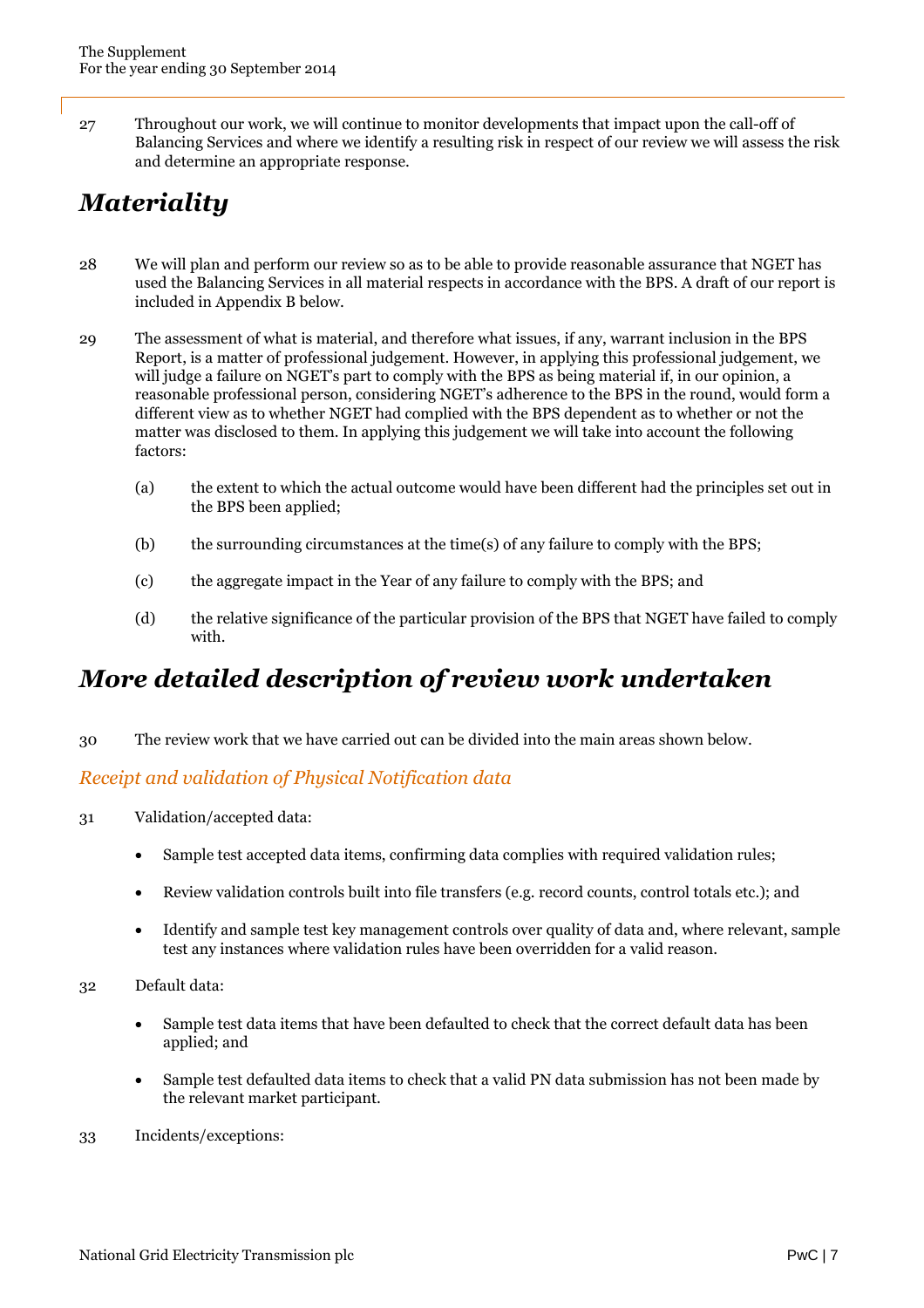27 Throughout our work, we will continue to monitor developments that impact upon the call-off of Balancing Services and where we identify a resulting risk in respect of our review we will assess the risk and determine an appropriate response.

## *Materiality*

- 28 We will plan and perform our review so as to be able to provide reasonable assurance that NGET has used the Balancing Services in all material respects in accordance with the BPS. A draft of our report is included in Appendix B below.
- 29 The assessment of what is material, and therefore what issues, if any, warrant inclusion in the BPS Report, is a matter of professional judgement. However, in applying this professional judgement, we will judge a failure on NGET's part to comply with the BPS as being material if, in our opinion, a reasonable professional person, considering NGET's adherence to the BPS in the round, would form a different view as to whether NGET had complied with the BPS dependent as to whether or not the matter was disclosed to them. In applying this judgement we will take into account the following factors:
	- (a) the extent to which the actual outcome would have been different had the principles set out in the BPS been applied;
	- (b) the surrounding circumstances at the time(s) of any failure to comply with the BPS;
	- (c) the aggregate impact in the Year of any failure to comply with the BPS; and
	- (d) the relative significance of the particular provision of the BPS that NGET have failed to comply with.

### *More detailed description of review work undertaken*

30 The review work that we have carried out can be divided into the main areas shown below.

#### *Receipt and validation of Physical Notification data*

- 31 Validation/accepted data:
	- Sample test accepted data items, confirming data complies with required validation rules;
	- Review validation controls built into file transfers (e.g. record counts, control totals etc.); and
	- Identify and sample test key management controls over quality of data and, where relevant, sample test any instances where validation rules have been overridden for a valid reason.
- 32 Default data:
	- Sample test data items that have been defaulted to check that the correct default data has been applied; and
	- Sample test defaulted data items to check that a valid PN data submission has not been made by the relevant market participant.
- 33 Incidents/exceptions: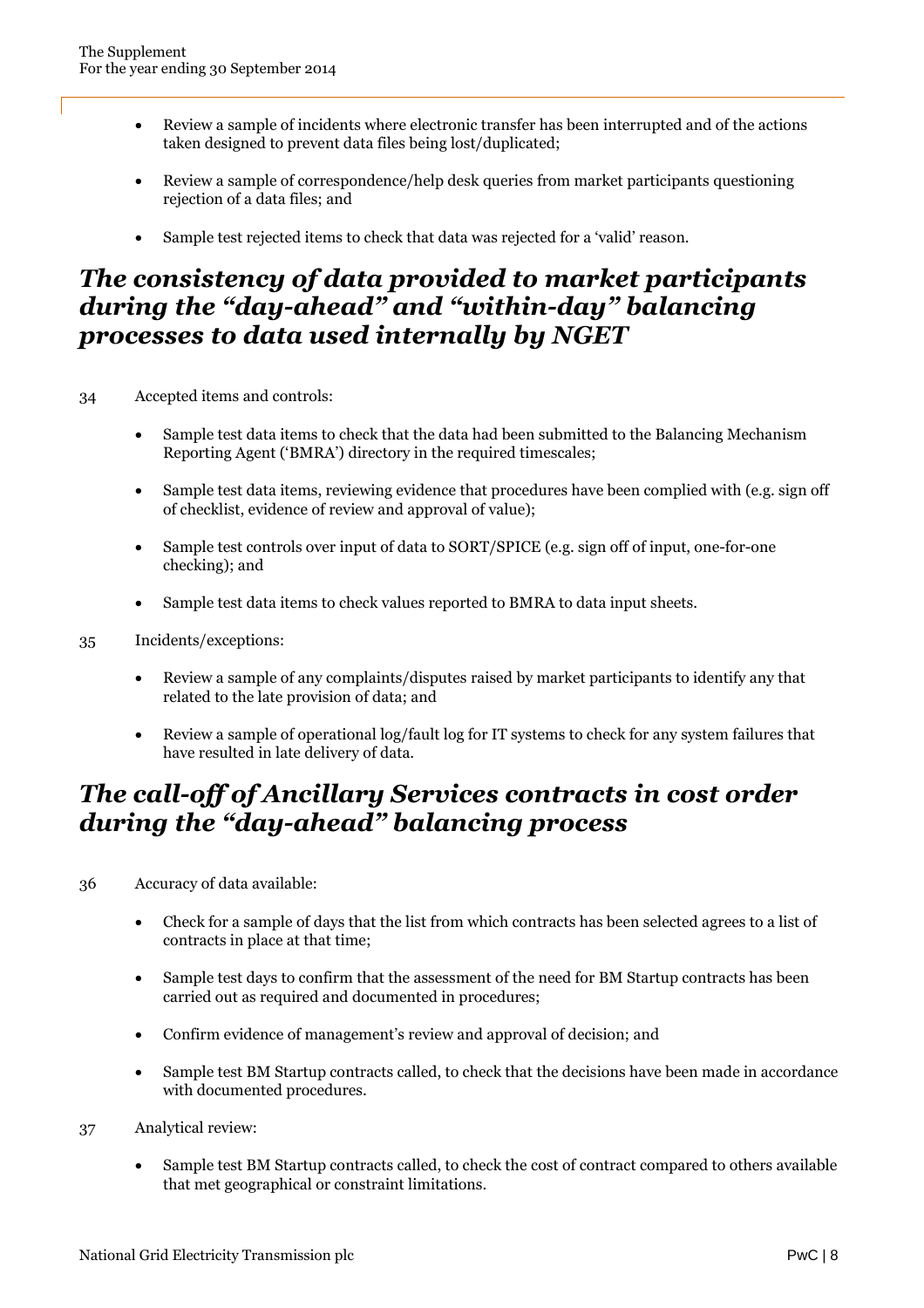- Review a sample of incidents where electronic transfer has been interrupted and of the actions taken designed to prevent data files being lost/duplicated;
- Review a sample of correspondence/help desk queries from market participants questioning rejection of a data files; and
- Sample test rejected items to check that data was rejected for a 'valid' reason.

#### *The consistency of data provided to market participants during the "day-ahead" and "within-day" balancing processes to data used internally by NGET*

- 34 Accepted items and controls:
	- Sample test data items to check that the data had been submitted to the Balancing Mechanism Reporting Agent ('BMRA') directory in the required timescales;
	- Sample test data items, reviewing evidence that procedures have been complied with (e.g. sign off of checklist, evidence of review and approval of value);
	- Sample test controls over input of data to SORT/SPICE (e.g. sign off of input, one-for-one checking); and
	- Sample test data items to check values reported to BMRA to data input sheets.
- 35 Incidents/exceptions:
	- Review a sample of any complaints/disputes raised by market participants to identify any that related to the late provision of data; and
	- Review a sample of operational log/fault log for IT systems to check for any system failures that have resulted in late delivery of data.

#### *The call-off of Ancillary Services contracts in cost order during the "day-ahead" balancing process*

- 36 Accuracy of data available:
	- Check for a sample of days that the list from which contracts has been selected agrees to a list of contracts in place at that time;
	- Sample test days to confirm that the assessment of the need for BM Startup contracts has been carried out as required and documented in procedures;
	- Confirm evidence of management's review and approval of decision; and
	- Sample test BM Startup contracts called, to check that the decisions have been made in accordance with documented procedures.
- 37 Analytical review:
	- Sample test BM Startup contracts called, to check the cost of contract compared to others available that met geographical or constraint limitations.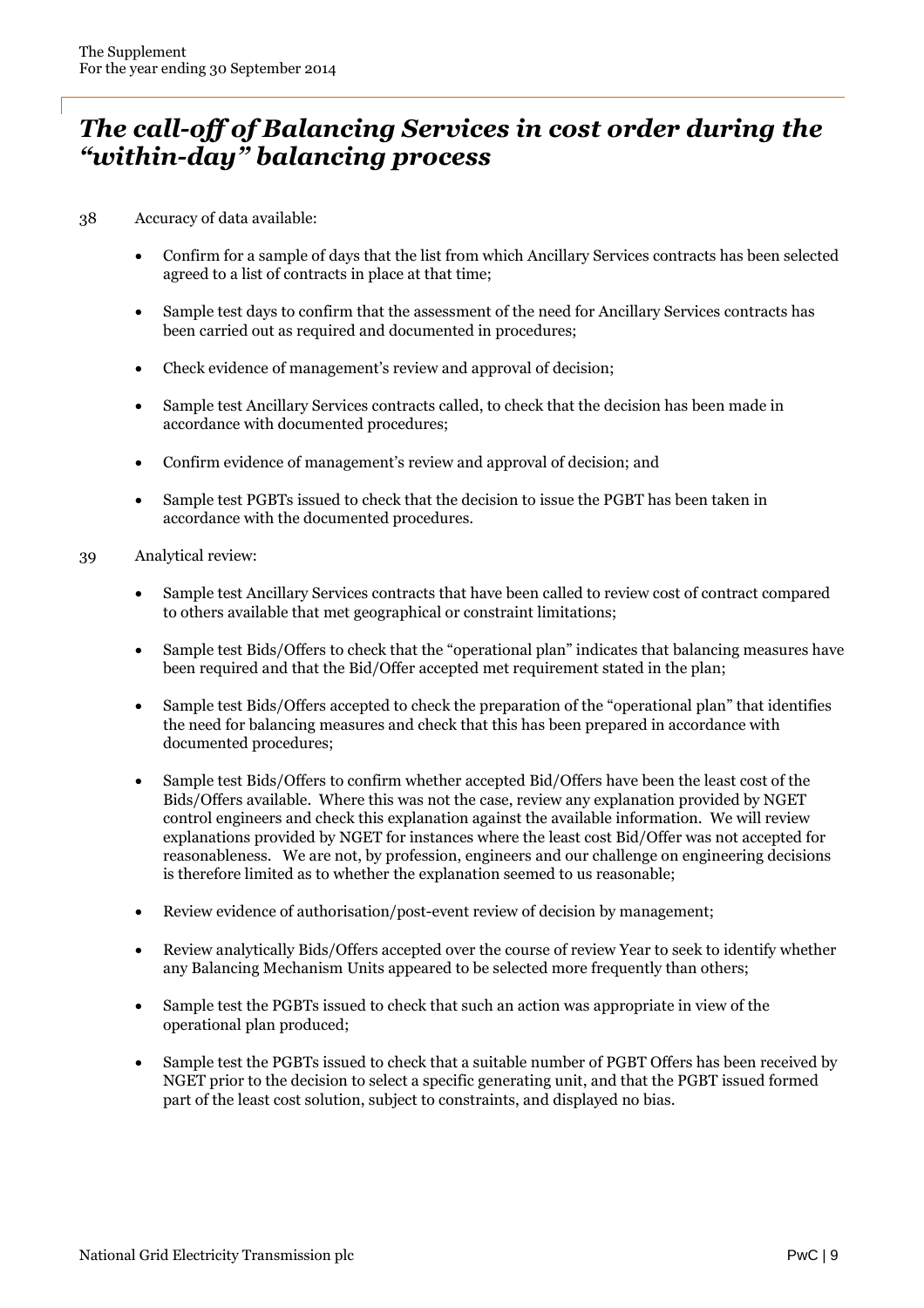### *The call-off of Balancing Services in cost order during the "within-day" balancing process*

- 38 Accuracy of data available:
	- Confirm for a sample of days that the list from which Ancillary Services contracts has been selected agreed to a list of contracts in place at that time;
	- Sample test days to confirm that the assessment of the need for Ancillary Services contracts has been carried out as required and documented in procedures;
	- Check evidence of management's review and approval of decision;
	- Sample test Ancillary Services contracts called, to check that the decision has been made in accordance with documented procedures;
	- Confirm evidence of management's review and approval of decision; and
	- Sample test PGBTs issued to check that the decision to issue the PGBT has been taken in accordance with the documented procedures.
- 39 Analytical review:
	- Sample test Ancillary Services contracts that have been called to review cost of contract compared to others available that met geographical or constraint limitations;
	- Sample test Bids/Offers to check that the "operational plan" indicates that balancing measures have been required and that the Bid/Offer accepted met requirement stated in the plan;
	- Sample test Bids/Offers accepted to check the preparation of the "operational plan" that identifies the need for balancing measures and check that this has been prepared in accordance with documented procedures;
	- Sample test Bids/Offers to confirm whether accepted Bid/Offers have been the least cost of the Bids/Offers available. Where this was not the case, review any explanation provided by NGET control engineers and check this explanation against the available information. We will review explanations provided by NGET for instances where the least cost Bid/Offer was not accepted for reasonableness. We are not, by profession, engineers and our challenge on engineering decisions is therefore limited as to whether the explanation seemed to us reasonable;
	- Review evidence of authorisation/post-event review of decision by management;
	- Review analytically Bids/Offers accepted over the course of review Year to seek to identify whether any Balancing Mechanism Units appeared to be selected more frequently than others;
	- Sample test the PGBTs issued to check that such an action was appropriate in view of the operational plan produced;
	- Sample test the PGBTs issued to check that a suitable number of PGBT Offers has been received by NGET prior to the decision to select a specific generating unit, and that the PGBT issued formed part of the least cost solution, subject to constraints, and displayed no bias.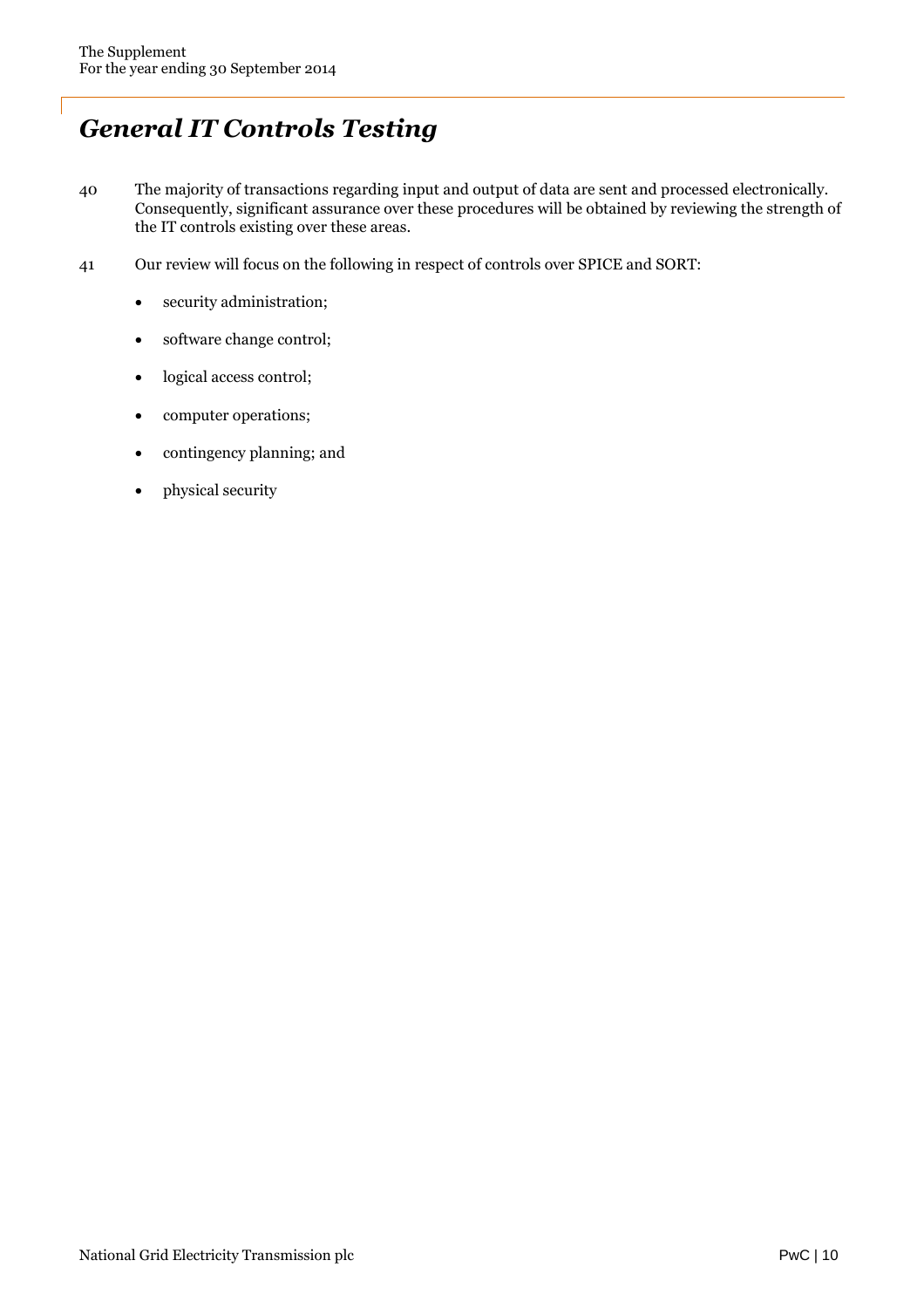## *General IT Controls Testing*

- 40 The majority of transactions regarding input and output of data are sent and processed electronically. Consequently, significant assurance over these procedures will be obtained by reviewing the strength of the IT controls existing over these areas.
- 41 Our review will focus on the following in respect of controls over SPICE and SORT:
	- security administration;
	- software change control;
	- logical access control;
	- computer operations;
	- contingency planning; and
	- physical security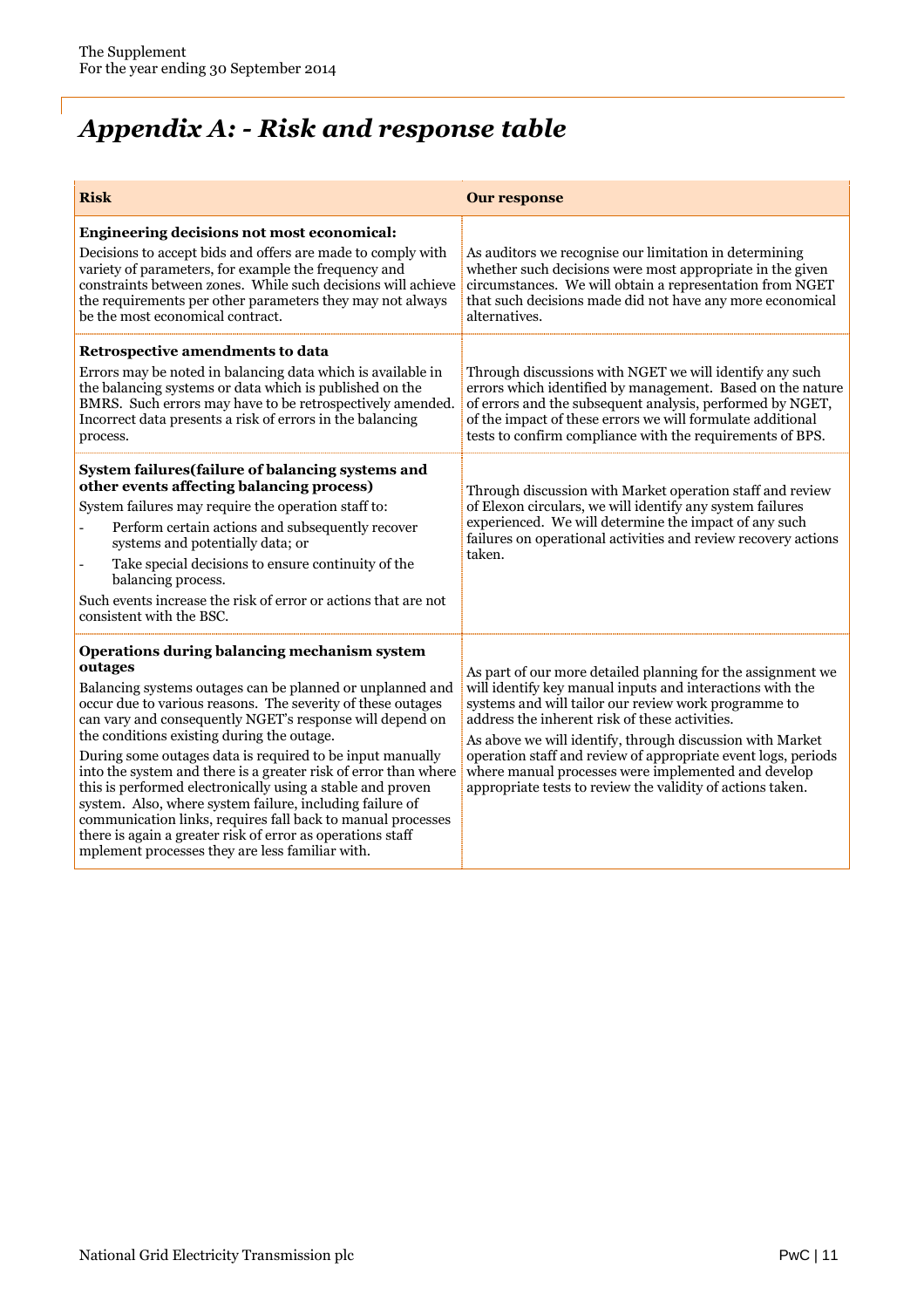# *Appendix A: - Risk and response table*

| <b>Risk</b>                                                                                                                                                                                                                                                                                                                                                                                                                                                                                                                                                                                                                                                                                                                             | <b>Our response</b>                                                                                                                                                                                                                                                                                                                                                                                                                                                                   |
|-----------------------------------------------------------------------------------------------------------------------------------------------------------------------------------------------------------------------------------------------------------------------------------------------------------------------------------------------------------------------------------------------------------------------------------------------------------------------------------------------------------------------------------------------------------------------------------------------------------------------------------------------------------------------------------------------------------------------------------------|---------------------------------------------------------------------------------------------------------------------------------------------------------------------------------------------------------------------------------------------------------------------------------------------------------------------------------------------------------------------------------------------------------------------------------------------------------------------------------------|
| Engineering decisions not most economical:<br>Decisions to accept bids and offers are made to comply with<br>variety of parameters, for example the frequency and<br>constraints between zones. While such decisions will achieve<br>the requirements per other parameters they may not always<br>be the most economical contract.                                                                                                                                                                                                                                                                                                                                                                                                      | As auditors we recognise our limitation in determining<br>whether such decisions were most appropriate in the given<br>circumstances. We will obtain a representation from NGET<br>that such decisions made did not have any more economical<br>alternatives.                                                                                                                                                                                                                         |
| Retrospective amendments to data<br>Errors may be noted in balancing data which is available in<br>the balancing systems or data which is published on the<br>BMRS. Such errors may have to be retrospectively amended.<br>Incorrect data presents a risk of errors in the balancing<br>process.                                                                                                                                                                                                                                                                                                                                                                                                                                        | Through discussions with NGET we will identify any such<br>errors which identified by management. Based on the nature<br>of errors and the subsequent analysis, performed by NGET,<br>of the impact of these errors we will formulate additional<br>tests to confirm compliance with the requirements of BPS.                                                                                                                                                                         |
| System failures (failure of balancing systems and<br>other events affecting balancing process)<br>System failures may require the operation staff to:<br>Perform certain actions and subsequently recover<br>systems and potentially data; or<br>Take special decisions to ensure continuity of the<br>$\overline{a}$<br>balancing process.<br>Such events increase the risk of error or actions that are not<br>consistent with the BSC.                                                                                                                                                                                                                                                                                               | Through discussion with Market operation staff and review<br>of Elexon circulars, we will identify any system failures<br>experienced. We will determine the impact of any such<br>failures on operational activities and review recovery actions<br>taken.                                                                                                                                                                                                                           |
| Operations during balancing mechanism system<br>outages<br>Balancing systems outages can be planned or unplanned and<br>occur due to various reasons. The severity of these outages<br>can vary and consequently NGET's response will depend on<br>the conditions existing during the outage.<br>During some outages data is required to be input manually<br>into the system and there is a greater risk of error than where<br>this is performed electronically using a stable and proven<br>system. Also, where system failure, including failure of<br>communication links, requires fall back to manual processes<br>there is again a greater risk of error as operations staff<br>mplement processes they are less familiar with. | As part of our more detailed planning for the assignment we<br>will identify key manual inputs and interactions with the<br>systems and will tailor our review work programme to<br>address the inherent risk of these activities.<br>As above we will identify, through discussion with Market<br>operation staff and review of appropriate event logs, periods<br>where manual processes were implemented and develop<br>appropriate tests to review the validity of actions taken. |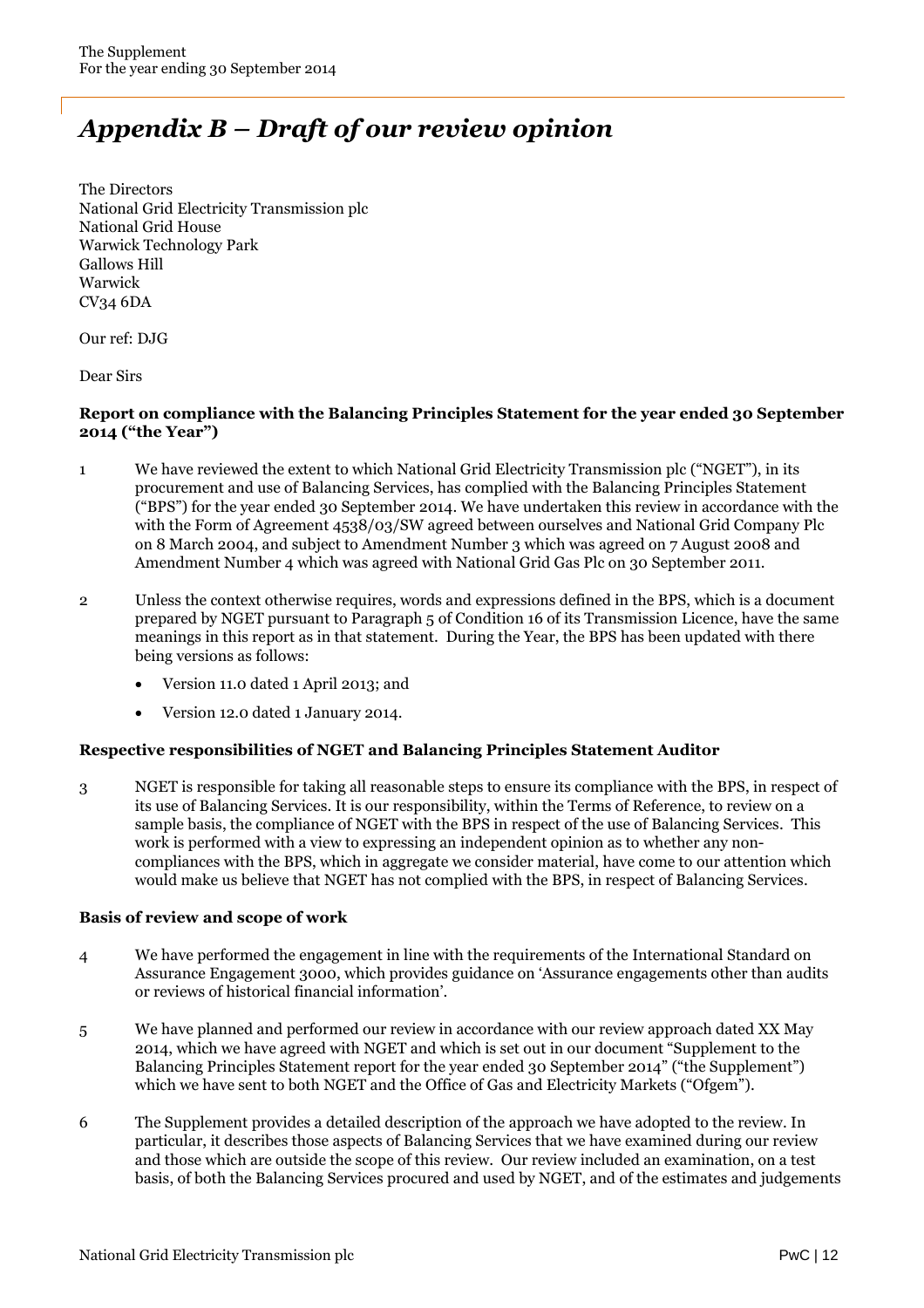## *Appendix B – Draft of our review opinion*

The Directors National Grid Electricity Transmission plc National Grid House Warwick Technology Park Gallows Hill Warwick CV34 6DA

Our ref: DJG

Dear Sirs

#### **Report on compliance with the Balancing Principles Statement for the year ended 30 September 2014 ("the Year")**

- 1 We have reviewed the extent to which National Grid Electricity Transmission plc ("NGET"), in its procurement and use of Balancing Services, has complied with the Balancing Principles Statement ("BPS") for the year ended 30 September 2014. We have undertaken this review in accordance with the with the Form of Agreement 4538/03/SW agreed between ourselves and National Grid Company Plc on 8 March 2004, and subject to Amendment Number 3 which was agreed on 7 August 2008 and Amendment Number 4 which was agreed with National Grid Gas Plc on 30 September 2011.
- 2 Unless the context otherwise requires, words and expressions defined in the BPS, which is a document prepared by NGET pursuant to Paragraph 5 of Condition 16 of its Transmission Licence, have the same meanings in this report as in that statement. During the Year, the BPS has been updated with there being versions as follows:
	- Version 11.0 dated 1 April 2013; and
	- Version 12.0 dated 1 January 2014.

#### **Respective responsibilities of NGET and Balancing Principles Statement Auditor**

3 NGET is responsible for taking all reasonable steps to ensure its compliance with the BPS, in respect of its use of Balancing Services. It is our responsibility, within the Terms of Reference, to review on a sample basis, the compliance of NGET with the BPS in respect of the use of Balancing Services. This work is performed with a view to expressing an independent opinion as to whether any noncompliances with the BPS, which in aggregate we consider material, have come to our attention which would make us believe that NGET has not complied with the BPS, in respect of Balancing Services.

#### **Basis of review and scope of work**

- 4 We have performed the engagement in line with the requirements of the International Standard on Assurance Engagement 3000, which provides guidance on 'Assurance engagements other than audits or reviews of historical financial information'.
- 5 We have planned and performed our review in accordance with our review approach dated XX May 2014, which we have agreed with NGET and which is set out in our document "Supplement to the Balancing Principles Statement report for the year ended 30 September 2014" ("the Supplement") which we have sent to both NGET and the Office of Gas and Electricity Markets ("Ofgem").
- 6 The Supplement provides a detailed description of the approach we have adopted to the review. In particular, it describes those aspects of Balancing Services that we have examined during our review and those which are outside the scope of this review. Our review included an examination, on a test basis, of both the Balancing Services procured and used by NGET, and of the estimates and judgements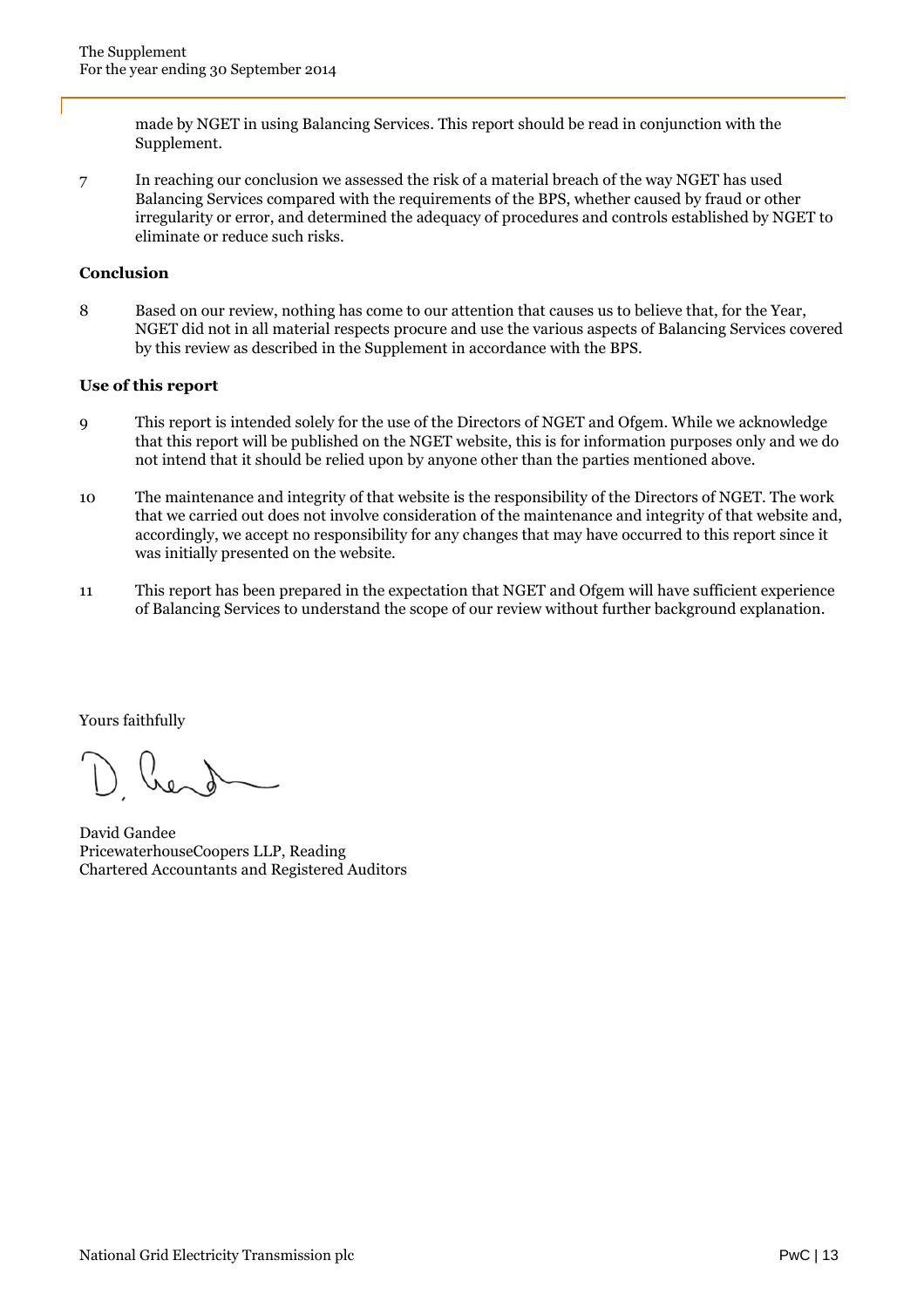made by NGET in using Balancing Services. This report should be read in conjunction with the Supplement.

7 In reaching our conclusion we assessed the risk of a material breach of the way NGET has used Balancing Services compared with the requirements of the BPS, whether caused by fraud or other irregularity or error, and determined the adequacy of procedures and controls established by NGET to eliminate or reduce such risks.

#### **Conclusion**

8 Based on our review, nothing has come to our attention that causes us to believe that, for the Year, NGET did not in all material respects procure and use the various aspects of Balancing Services covered by this review as described in the Supplement in accordance with the BPS.

#### **Use of this report**

- 9 This report is intended solely for the use of the Directors of NGET and Ofgem. While we acknowledge that this report will be published on the NGET website, this is for information purposes only and we do not intend that it should be relied upon by anyone other than the parties mentioned above.
- 10 The maintenance and integrity of that website is the responsibility of the Directors of NGET. The work that we carried out does not involve consideration of the maintenance and integrity of that website and, accordingly, we accept no responsibility for any changes that may have occurred to this report since it was initially presented on the website.
- 11 This report has been prepared in the expectation that NGET and Ofgem will have sufficient experience of Balancing Services to understand the scope of our review without further background explanation.

Yours faithfully

David Gandee PricewaterhouseCoopers LLP, Reading Chartered Accountants and Registered Auditors